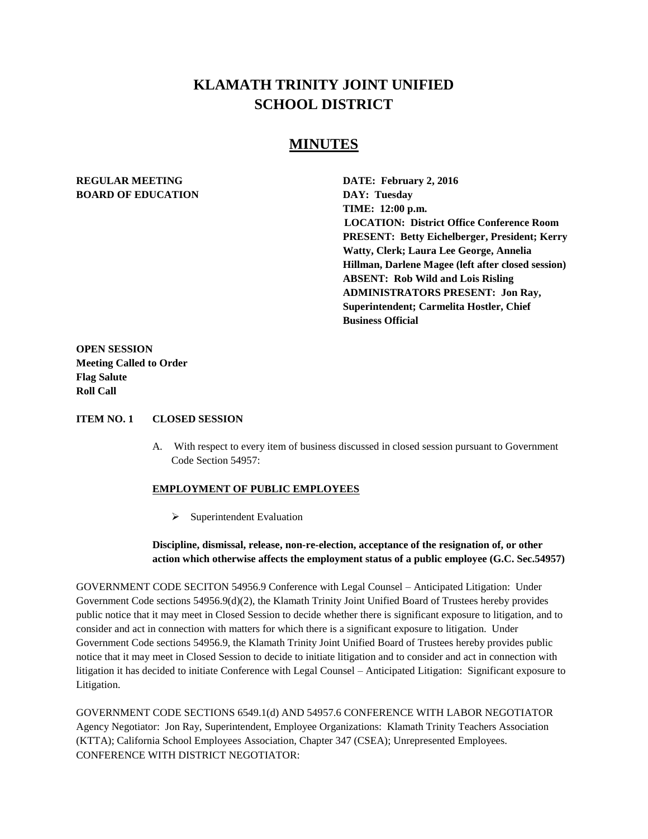# **KLAMATH TRINITY JOINT UNIFIED SCHOOL DISTRICT**

## **MINUTES**

## **REGULAR MEETING DATE: February 2, 2016 BOARD OF EDUCATION DAY: Tuesday**

**TIME: 12:00 p.m. LOCATION: District Office Conference Room PRESENT: Betty Eichelberger, President; Kerry Watty, Clerk; Laura Lee George, Annelia Hillman, Darlene Magee (left after closed session) ABSENT: Rob Wild and Lois Risling ADMINISTRATORS PRESENT: Jon Ray, Superintendent; Carmelita Hostler, Chief Business Official**

**OPEN SESSION Meeting Called to Order Flag Salute Roll Call**

#### **ITEM NO. 1 CLOSED SESSION**

A. With respect to every item of business discussed in closed session pursuant to Government Code Section 54957:

#### **EMPLOYMENT OF PUBLIC EMPLOYEES**

 $\triangleright$  Superintendent Evaluation

**Discipline, dismissal, release, non-re-election, acceptance of the resignation of, or other action which otherwise affects the employment status of a public employee (G.C. Sec.54957)**

GOVERNMENT CODE SECITON 54956.9 Conference with Legal Counsel – Anticipated Litigation: Under Government Code sections 54956.9(d)(2), the Klamath Trinity Joint Unified Board of Trustees hereby provides public notice that it may meet in Closed Session to decide whether there is significant exposure to litigation, and to consider and act in connection with matters for which there is a significant exposure to litigation. Under Government Code sections 54956.9, the Klamath Trinity Joint Unified Board of Trustees hereby provides public notice that it may meet in Closed Session to decide to initiate litigation and to consider and act in connection with litigation it has decided to initiate Conference with Legal Counsel – Anticipated Litigation: Significant exposure to Litigation.

GOVERNMENT CODE SECTIONS 6549.1(d) AND 54957.6 CONFERENCE WITH LABOR NEGOTIATOR Agency Negotiator: Jon Ray, Superintendent, Employee Organizations: Klamath Trinity Teachers Association (KTTA); California School Employees Association, Chapter 347 (CSEA); Unrepresented Employees. CONFERENCE WITH DISTRICT NEGOTIATOR: